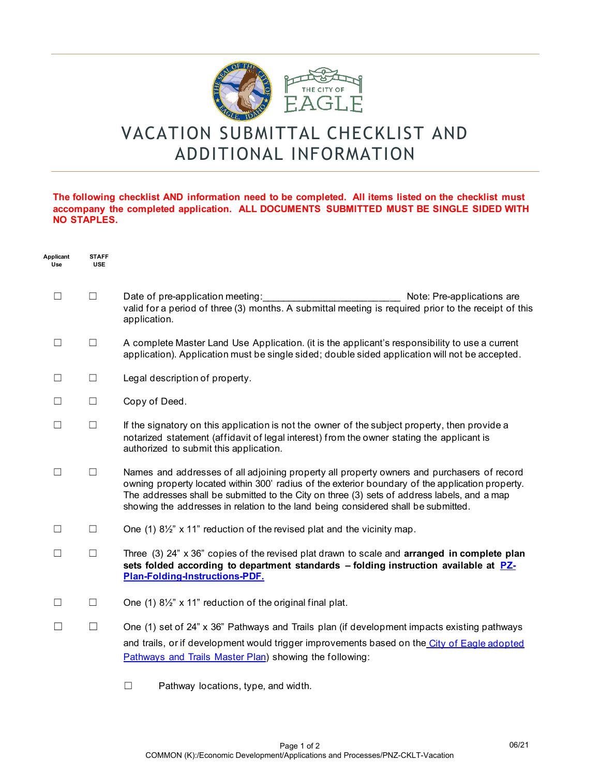

## VACATION SUBMITTAL CHECKLIST AND ADDITIONAL INFORMATION

## **The following checklist AND information need to be completed. All items listed on the checklist must accompany the completed application. ALL DOCUMENTS SUBMITTED MUST BE SINGLE SIDED WITH NO STAPLES.**

| Applicant<br>Use | <b>STAFF</b><br><b>USE</b> |                                                                                                                                                                                                                                                                                                                                                                                     |
|------------------|----------------------------|-------------------------------------------------------------------------------------------------------------------------------------------------------------------------------------------------------------------------------------------------------------------------------------------------------------------------------------------------------------------------------------|
| $\Box$           | $\Box$                     | Date of pre-application meeting:<br>Note: Pre-applications are<br>valid for a period of three (3) months. A submittal meeting is required prior to the receipt of this<br>application.                                                                                                                                                                                              |
| $\Box$           | $\Box$                     | A complete Master Land Use Application. (it is the applicant's responsibility to use a current<br>application). Application must be single sided; double sided application will not be accepted.                                                                                                                                                                                    |
| Ш                | $\Box$                     | Legal description of property.                                                                                                                                                                                                                                                                                                                                                      |
| $\Box$           | $\Box$                     | Copy of Deed.                                                                                                                                                                                                                                                                                                                                                                       |
| $\Box$           | $\Box$                     | If the signatory on this application is not the owner of the subject property, then provide a<br>notarized statement (affidavit of legal interest) from the owner stating the applicant is<br>authorized to submit this application.                                                                                                                                                |
| $\Box$           | $\Box$                     | Names and addresses of all adjoining property all property owners and purchasers of record<br>owning property located within 300' radius of the exterior boundary of the application property.<br>The addresses shall be submitted to the City on three (3) sets of address labels, and a map<br>showing the addresses in relation to the land being considered shall be submitted. |
| □                | $\Box$                     | One (1) 8 <sup>1</sup> / <sub>2</sub> " x 11" reduction of the revised plat and the vicinity map.                                                                                                                                                                                                                                                                                   |
| $\perp$          | $\Box$                     | Three $(3)$ 24" $\times$ 36" copies of the revised plat drawn to scale and <b>arranged in complete plan</b><br>sets folded according to department standards - folding instruction available at PZ-<br>Plan-Folding-Instructions-PDF.                                                                                                                                               |
| П                | $\Box$                     | One (1) 81/2" x 11" reduction of the original final plat.                                                                                                                                                                                                                                                                                                                           |
|                  | $\Box$                     | One (1) set of 24" x 36" Pathways and Trails plan (if development impacts existing pathways<br>and trails, or if development would trigger improvements based on the City of Eagle adopted<br>Pathways and Trails Master Plan) showing the following:                                                                                                                               |

☐ Pathway locations, type, and width.